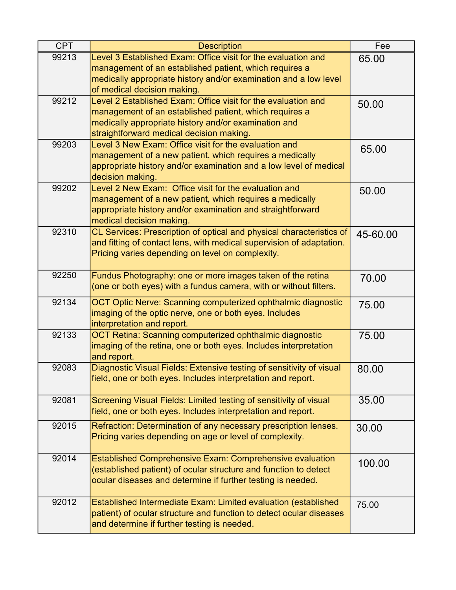| <b>CPT</b> | <b>Description</b>                                                                                                     | Fee      |
|------------|------------------------------------------------------------------------------------------------------------------------|----------|
| 99213      | Level 3 Established Exam: Office visit for the evaluation and                                                          | 65.00    |
|            | management of an established patient, which requires a                                                                 |          |
|            | medically appropriate history and/or examination and a low level                                                       |          |
| 99212      | of medical decision making.<br>Level 2 Established Exam: Office visit for the evaluation and                           |          |
|            | management of an established patient, which requires a                                                                 | 50.00    |
|            | medically appropriate history and/or examination and                                                                   |          |
|            | straightforward medical decision making.                                                                               |          |
| 99203      | Level 3 New Exam: Office visit for the evaluation and                                                                  | 65.00    |
|            | management of a new patient, which requires a medically                                                                |          |
|            | appropriate history and/or examination and a low level of medical                                                      |          |
| 99202      | decision making.<br>Level 2 New Exam: Office visit for the evaluation and                                              |          |
|            | management of a new patient, which requires a medically                                                                | 50.00    |
|            | appropriate history and/or examination and straightforward                                                             |          |
|            | medical decision making.                                                                                               |          |
| 92310      | CL Services: Prescription of optical and physical characteristics of                                                   | 45-60.00 |
|            | and fitting of contact lens, with medical supervision of adaptation.                                                   |          |
|            | Pricing varies depending on level on complexity.                                                                       |          |
| 92250      | Fundus Photography: one or more images taken of the retina                                                             |          |
|            | (one or both eyes) with a fundus camera, with or without filters.                                                      | 70.00    |
|            |                                                                                                                        |          |
| 92134      | OCT Optic Nerve: Scanning computerized ophthalmic diagnostic<br>imaging of the optic nerve, one or both eyes. Includes | 75.00    |
|            | interpretation and report.                                                                                             |          |
| 92133      | OCT Retina: Scanning computerized ophthalmic diagnostic                                                                | 75.00    |
|            | imaging of the retina, one or both eyes. Includes interpretation                                                       |          |
|            | and report.                                                                                                            |          |
| 92083      | Diagnostic Visual Fields: Extensive testing of sensitivity of visual                                                   | 80.00    |
|            | field, one or both eyes. Includes interpretation and report.                                                           |          |
| 92081      | Screening Visual Fields: Limited testing of sensitivity of visual                                                      | 35.00    |
|            | field, one or both eyes. Includes interpretation and report.                                                           |          |
| 92015      | Refraction: Determination of any necessary prescription lenses.                                                        | 30.00    |
|            | Pricing varies depending on age or level of complexity.                                                                |          |
|            |                                                                                                                        |          |
| 92014      | <b>Established Comprehensive Exam: Comprehensive evaluation</b>                                                        | 100.00   |
|            | (established patient) of ocular structure and function to detect                                                       |          |
|            | ocular diseases and determine if further testing is needed.                                                            |          |
| 92012      | Established Intermediate Exam: Limited evaluation (established                                                         | 75.00    |
|            | patient) of ocular structure and function to detect ocular diseases                                                    |          |
|            | and determine if further testing is needed.                                                                            |          |